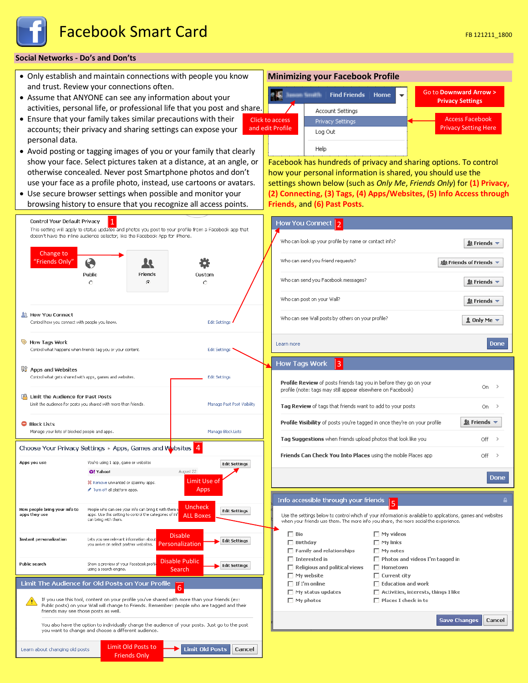

# **Social Networks - Do's and Don'ts**

- Only establish and maintain connections with people you know and trust. Review your connections often.
- Assume that ANYONE can see any information about your activities, personal life, or professional life that you post and share.
- Ensure that your family takes similar precautions with their accounts; their privacy and sharing settings can expose your personal data.
- Avoid posting or tagging images of you or your family that clearly show your face. Select pictures taken at a distance, at an angle, or otherwise concealed. Never post Smartphone photos and don't use your face as a profile photo, instead, use cartoons or avatars.
- Use secure browser settings when possible and monitor your browsing history to ensure that you recognize all access points.

# **Minimizing your Facebook Profile**



Facebook has hundreds of privacy and sharing options. To control how your personal information is shared, you should use the settings shown below (such as *Only Me*, *Friends Only*) for **(1) Privacy, (2) Connecting, (3) Tags, (4) Apps/Websites, (5) Info Access through Friends,** and **(6) Past Posts**.



# Who can look up your profile by name or contact info?  $\mathbf{\mathbf{\&}$  Friends  $\mathbf{\div}$ 變 Friends of Friends ▼  $\mathbf{\mathbf{\&}$  Friends  $\mathbf{\div}$  $\&$  Friends  $\sim$ Who can see Wall posts by others on your profile?  $\pm$  Only Me  $\pm$ Done

| Profile Review of posts friends tag you in before they go on your<br>profile (note: tags may still appear elsewhere on Facebook) | On.                                                      |  |
|----------------------------------------------------------------------------------------------------------------------------------|----------------------------------------------------------|--|
| Tag Review of tags that friends want to add to your posts                                                                        | On.                                                      |  |
| <b>Profile Visibility</b> of posts you're tagged in once they're on your profile                                                 | $\mathbf{\mathbf{\&}$ Friends $\mathbf{\mathbf{\times}}$ |  |
| Tag Suggestions when friends upload photos that look like you                                                                    |                                                          |  |
| Friends Can Check You Into Places using the mobile Places app                                                                    |                                                          |  |

Use the settings below to control which of your information is available to applications, games and websites when your friends use them. The more info you share, the more social the experience

5

 $\Box$  Places I check in to

Done

Cancel

Save Changes